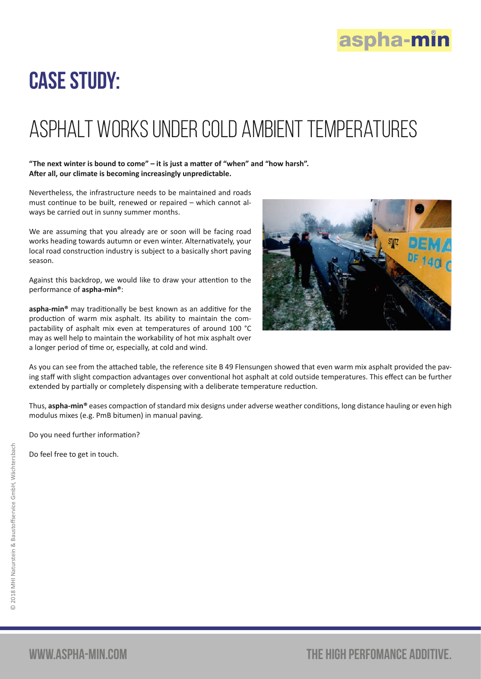

## Case study:

## Asphalt works under cold ambient temperatures

## **"The next winter is bound to come" – it is just a matter of "when" and "how harsh". After all, our climate is becoming increasingly unpredictable.**

Nevertheless, the infrastructure needs to be maintained and roads must continue to be built, renewed or repaired – which cannot always be carried out in sunny summer months.

We are assuming that you already are or soon will be facing road works heading towards autumn or even winter. Alternativately, your local road construction industry is subject to a basically short paving season.

Against this backdrop, we would like to draw your attention to the performance of **aspha-min®**:

**aspha-min®** may traditionally be best known as an additive for the production of warm mix asphalt. Its ability to maintain the compactability of asphalt mix even at temperatures of around 100 °C may as well help to maintain the workability of hot mix asphalt over a longer period of time or, especially, at cold and wind.



As you can see from the attached table, the reference site B 49 Flensungen showed that even warm mix asphalt provided the paving staff with slight compaction advantages over conventional hot asphalt at cold outside temperatures. This effect can be further extended by partially or completely dispensing with a deliberate temperature reduction.

Thus, **aspha-min®** eases compaction of standard mix designs under adverse weather conditions, long distance hauling or even high modulus mixes (e.g. PmB bitumen) in manual paving.

Do you need further information?

Do feel free to get in touch.